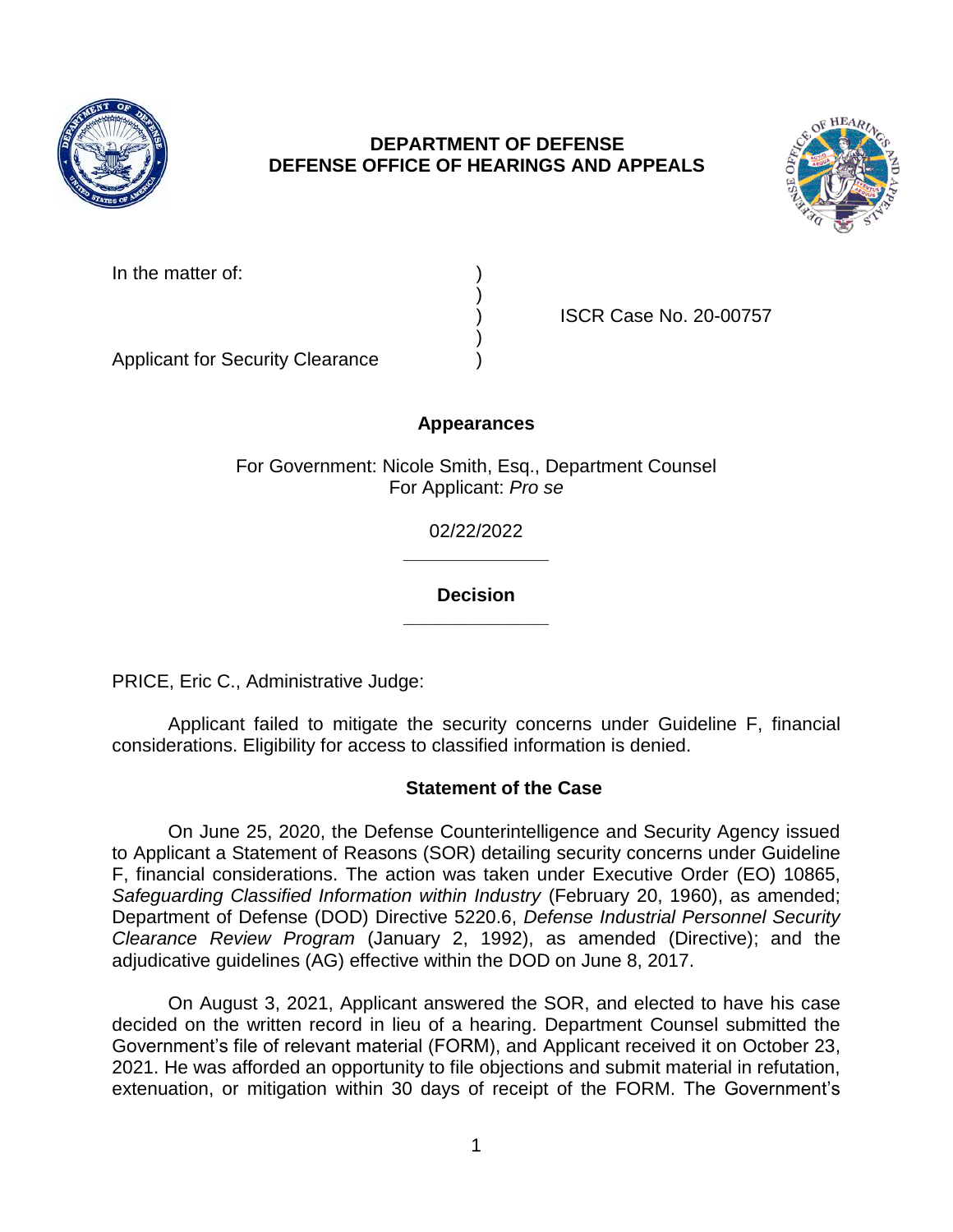

# **DEPARTMENT OF DEFENSE DEFENSE OFFICE OF HEARINGS AND APPEALS**



| In the matter of: |  |
|-------------------|--|
|-------------------|--|

) ISCR Case No. 20-00757

Applicant for Security Clearance )

# **Appearances**

)

)

For Government: Nicole Smith, Esq., Department Counsel For Applicant: *Pro se* 

> **\_\_\_\_\_\_\_\_\_\_\_\_\_\_**  02/22/2022

### **\_\_\_\_\_\_\_\_\_\_\_\_\_\_ Decision**

PRICE, Eric C., Administrative Judge:

Applicant failed to mitigate the security concerns under Guideline F, financial considerations. Eligibility for access to classified information is denied.

# **Statement of the Case**

On June 25, 2020, the Defense Counterintelligence and Security Agency issued to Applicant a Statement of Reasons (SOR) detailing security concerns under Guideline F, financial considerations. The action was taken under Executive Order (EO) 10865, *Safeguarding Classified Information within Industry* (February 20, 1960), as amended; Department of Defense (DOD) Directive 5220.6, *Defense Industrial Personnel Security Clearance Review Program* (January 2, 1992), as amended (Directive); and the adjudicative guidelines (AG) effective within the DOD on June 8, 2017.

On August 3, 2021, Applicant answered the SOR, and elected to have his case decided on the written record in lieu of a hearing. Department Counsel submitted the Government's file of relevant material (FORM), and Applicant received it on October 23, 2021. He was afforded an opportunity to file objections and submit material in refutation, extenuation, or mitigation within 30 days of receipt of the FORM. The Government's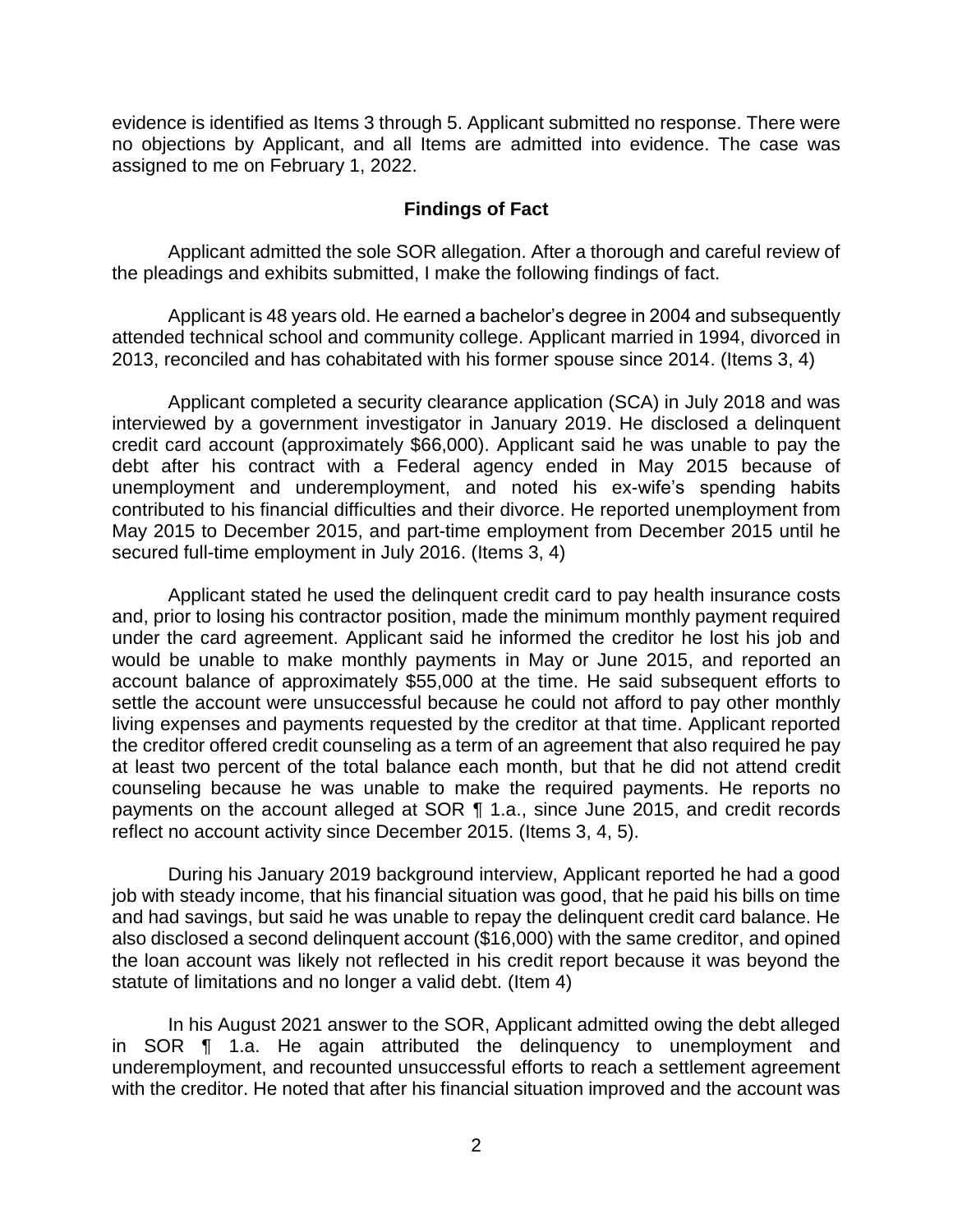evidence is identified as Items 3 through 5. Applicant submitted no response. There were no objections by Applicant, and all Items are admitted into evidence. The case was assigned to me on February 1, 2022.

#### **Findings of Fact**

Applicant admitted the sole SOR allegation. After a thorough and careful review of the pleadings and exhibits submitted, I make the following findings of fact.

 Applicant is 48 years old. He earned a bachelor's degree in 2004 and subsequently attended technical school and community college. Applicant married in 1994, divorced in 2013, reconciled and has cohabitated with his former spouse since 2014. (Items 3, 4)

 unemployment and underemployment, and noted his ex-wife's spending habits Applicant completed a security clearance application (SCA) in July 2018 and was interviewed by a government investigator in January 2019. He disclosed a delinquent credit card account (approximately \$66,000). Applicant said he was unable to pay the debt after his contract with a Federal agency ended in May 2015 because of contributed to his financial difficulties and their divorce. He reported unemployment from May 2015 to December 2015, and part-time employment from December 2015 until he secured full-time employment in July 2016. (Items 3, 4)

Applicant stated he used the delinquent credit card to pay health insurance costs and, prior to losing his contractor position, made the minimum monthly payment required under the card agreement. Applicant said he informed the creditor he lost his job and would be unable to make monthly payments in May or June 2015, and reported an account balance of approximately \$55,000 at the time. He said subsequent efforts to settle the account were unsuccessful because he could not afford to pay other monthly living expenses and payments requested by the creditor at that time. Applicant reported the creditor offered credit counseling as a term of an agreement that also required he pay at least two percent of the total balance each month, but that he did not attend credit counseling because he was unable to make the required payments. He reports no payments on the account alleged at SOR ¶ 1.a., since June 2015, and credit records reflect no account activity since December 2015. (Items 3, 4, 5).

During his January 2019 background interview, Applicant reported he had a good job with steady income, that his financial situation was good, that he paid his bills on time and had savings, but said he was unable to repay the delinquent credit card balance. He also disclosed a second delinquent account (\$16,000) with the same creditor, and opined the loan account was likely not reflected in his credit report because it was beyond the statute of limitations and no longer a valid debt. (Item 4)

In his August 2021 answer to the SOR, Applicant admitted owing the debt alleged in SOR ¶ 1.a. He again attributed the delinquency to unemployment and underemployment, and recounted unsuccessful efforts to reach a settlement agreement with the creditor. He noted that after his financial situation improved and the account was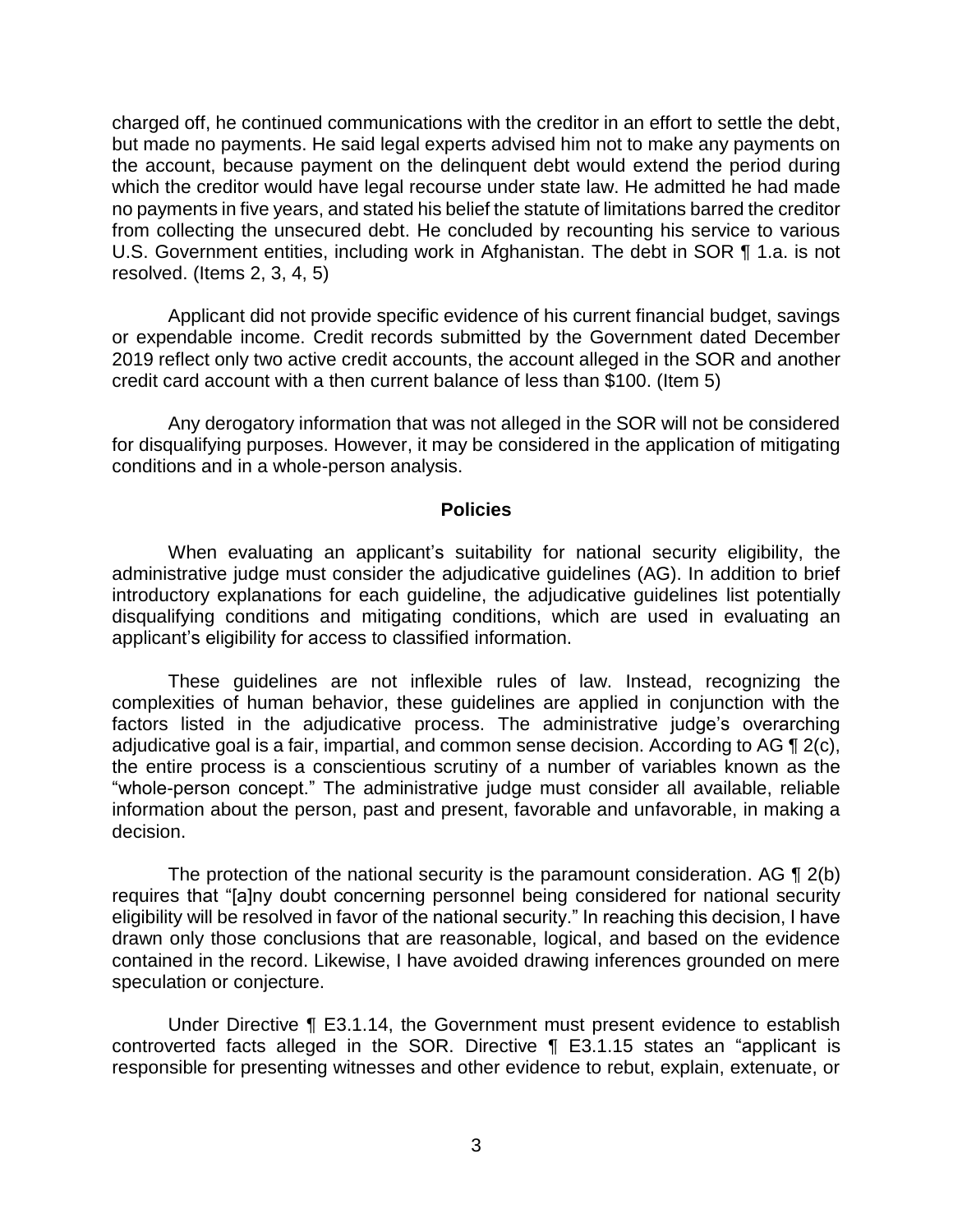charged off, he continued communications with the creditor in an effort to settle the debt, but made no payments. He said legal experts advised him not to make any payments on the account, because payment on the delinquent debt would extend the period during which the creditor would have legal recourse under state law. He admitted he had made no payments in five years, and stated his belief the statute of limitations barred the creditor from collecting the unsecured debt. He concluded by recounting his service to various U.S. Government entities, including work in Afghanistan. The debt in SOR ¶ 1.a. is not resolved. (Items 2, 3, 4, 5)

Applicant did not provide specific evidence of his current financial budget, savings or expendable income. Credit records submitted by the Government dated December 2019 reflect only two active credit accounts, the account alleged in the SOR and another credit card account with a then current balance of less than \$100. (Item 5)

Any derogatory information that was not alleged in the SOR will not be considered for disqualifying purposes. However, it may be considered in the application of mitigating conditions and in a whole-person analysis.

#### **Policies**

When evaluating an applicant's suitability for national security eligibility, the administrative judge must consider the adjudicative guidelines (AG). In addition to brief introductory explanations for each guideline, the adjudicative guidelines list potentially disqualifying conditions and mitigating conditions, which are used in evaluating an applicant's eligibility for access to classified information.

These guidelines are not inflexible rules of law. Instead, recognizing the complexities of human behavior, these guidelines are applied in conjunction with the factors listed in the adjudicative process. The administrative judge's overarching adjudicative goal is a fair, impartial, and common sense decision. According to AG ¶ 2(c), the entire process is a conscientious scrutiny of a number of variables known as the "whole-person concept." The administrative judge must consider all available, reliable information about the person, past and present, favorable and unfavorable, in making a decision.

 eligibility will be resolved in favor of the national security." In reaching this decision, I have The protection of the national security is the paramount consideration. AG ¶ 2(b) requires that "[a]ny doubt concerning personnel being considered for national security drawn only those conclusions that are reasonable, logical, and based on the evidence contained in the record. Likewise, I have avoided drawing inferences grounded on mere speculation or conjecture.

Under Directive ¶ E3.1.14, the Government must present evidence to establish controverted facts alleged in the SOR. Directive ¶ E3.1.15 states an "applicant is responsible for presenting witnesses and other evidence to rebut, explain, extenuate, or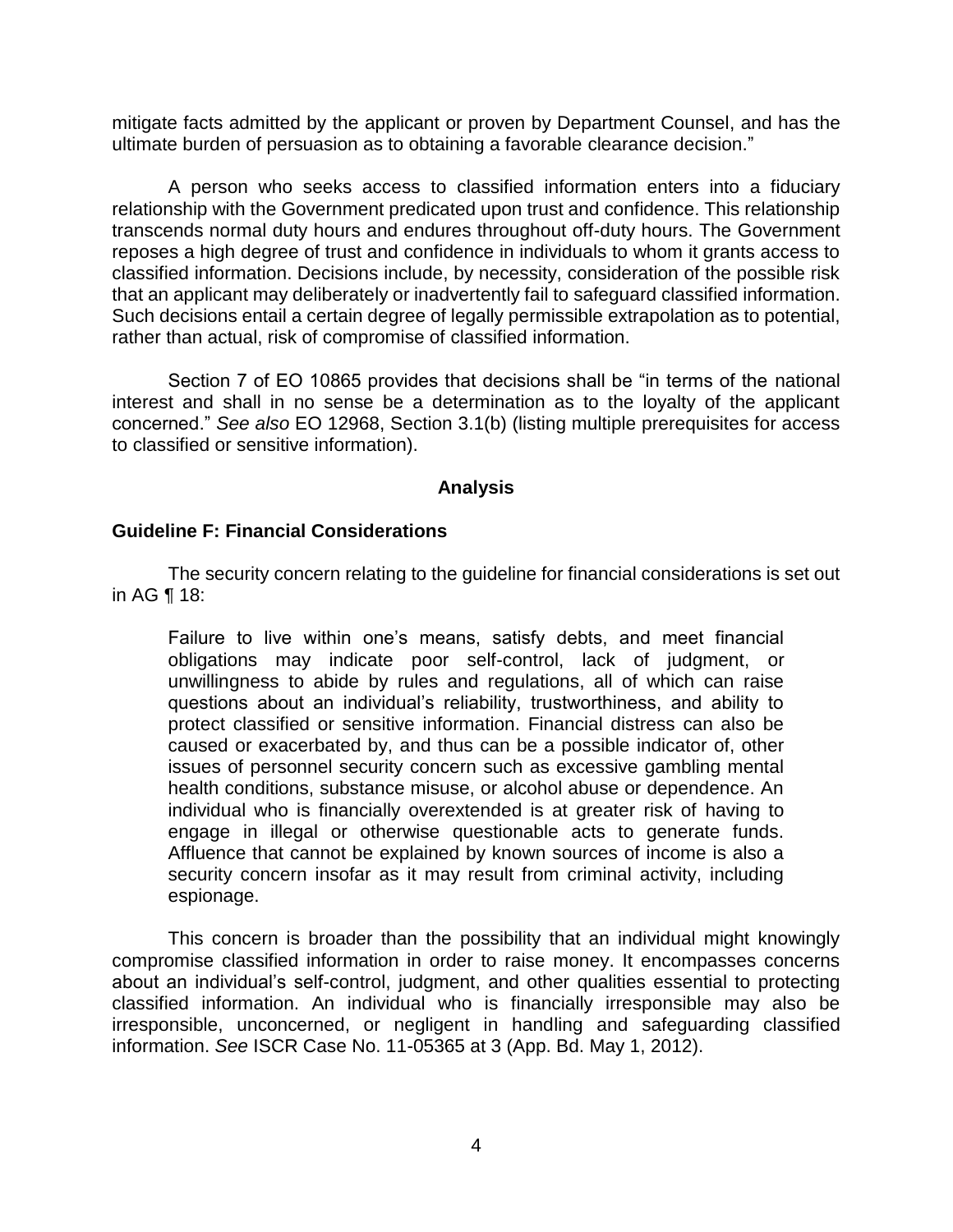mitigate facts admitted by the applicant or proven by Department Counsel, and has the ultimate burden of persuasion as to obtaining a favorable clearance decision."

A person who seeks access to classified information enters into a fiduciary relationship with the Government predicated upon trust and confidence. This relationship transcends normal duty hours and endures throughout off-duty hours. The Government reposes a high degree of trust and confidence in individuals to whom it grants access to classified information. Decisions include, by necessity, consideration of the possible risk that an applicant may deliberately or inadvertently fail to safeguard classified information. Such decisions entail a certain degree of legally permissible extrapolation as to potential, rather than actual, risk of compromise of classified information.

 Section 7 of EO 10865 provides that decisions shall be "in terms of the national interest and shall in no sense be a determination as to the loyalty of the applicant concerned." *See also* EO 12968, Section 3.1(b) (listing multiple prerequisites for access to classified or sensitive information).

#### **Analysis**

#### **Guideline F: Financial Considerations**

The security concern relating to the guideline for financial considerations is set out in AG ¶ 18:

Failure to live within one's means, satisfy debts, and meet financial obligations may indicate poor self-control, lack of judgment, or unwillingness to abide by rules and regulations, all of which can raise questions about an individual's reliability, trustworthiness, and ability to protect classified or sensitive information. Financial distress can also be caused or exacerbated by, and thus can be a possible indicator of, other issues of personnel security concern such as excessive gambling mental health conditions, substance misuse, or alcohol abuse or dependence. An individual who is financially overextended is at greater risk of having to engage in illegal or otherwise questionable acts to generate funds. Affluence that cannot be explained by known sources of income is also a security concern insofar as it may result from criminal activity, including espionage.

This concern is broader than the possibility that an individual might knowingly compromise classified information in order to raise money. It encompasses concerns about an individual's self-control, judgment, and other qualities essential to protecting classified information. An individual who is financially irresponsible may also be irresponsible, unconcerned, or negligent in handling and safeguarding classified information. *See* ISCR Case No. 11-05365 at 3 (App. Bd. May 1, 2012).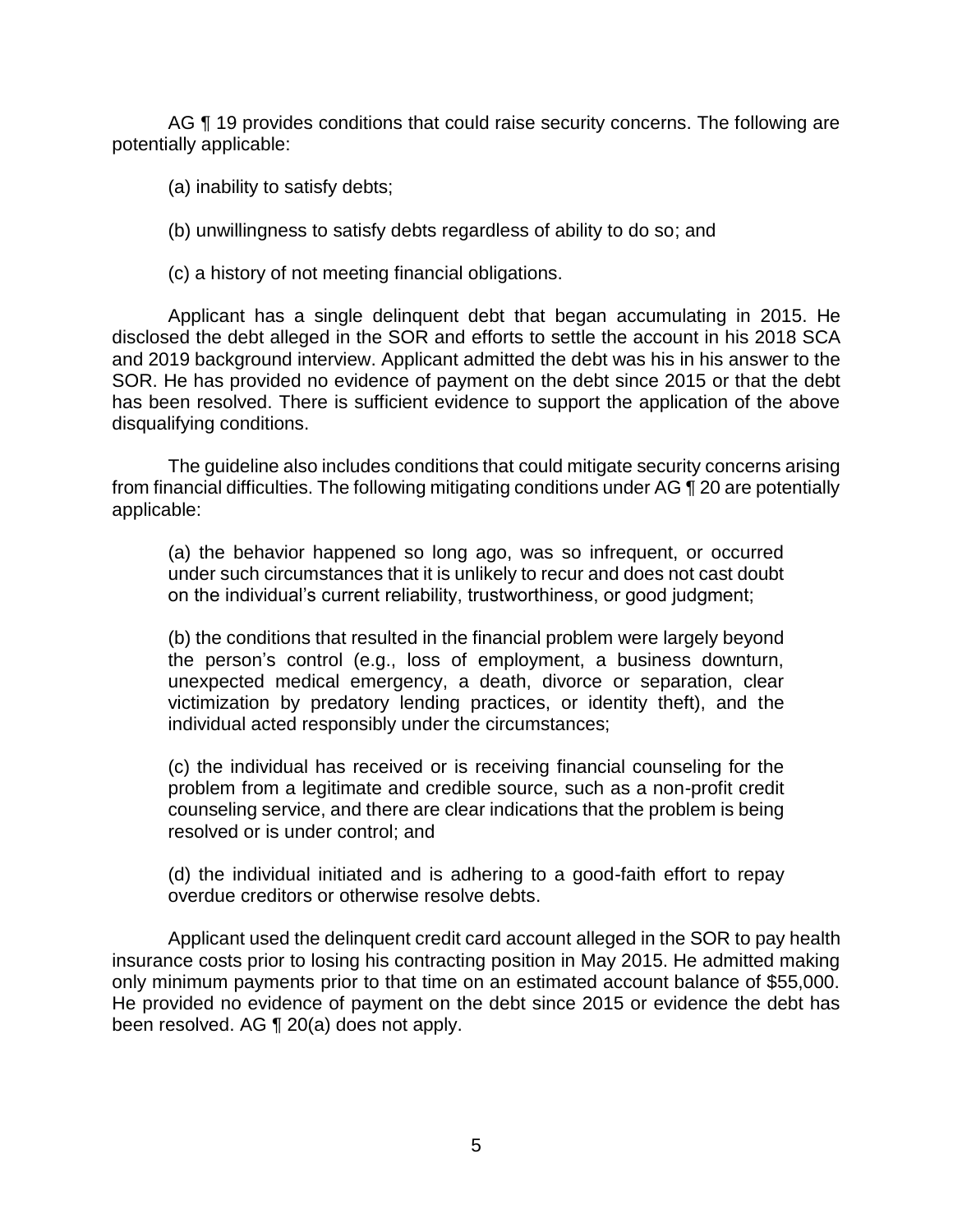AG ¶ 19 provides conditions that could raise security concerns. The following are potentially applicable:

(a) inability to satisfy debts;

(b) unwillingness to satisfy debts regardless of ability to do so; and

(c) a history of not meeting financial obligations.

Applicant has a single delinquent debt that began accumulating in 2015. He disclosed the debt alleged in the SOR and efforts to settle the account in his 2018 SCA and 2019 background interview. Applicant admitted the debt was his in his answer to the SOR. He has provided no evidence of payment on the debt since 2015 or that the debt has been resolved. There is sufficient evidence to support the application of the above disqualifying conditions.

The guideline also includes conditions that could mitigate security concerns arising from financial difficulties. The following mitigating conditions under AG ¶ 20 are potentially applicable:

(a) the behavior happened so long ago, was so infrequent, or occurred under such circumstances that it is unlikely to recur and does not cast doubt on the individual's current reliability, trustworthiness, or good judgment;

(b) the conditions that resulted in the financial problem were largely beyond the person's control (e.g., loss of employment, a business downturn, unexpected medical emergency, a death, divorce or separation, clear victimization by predatory lending practices, or identity theft), and the individual acted responsibly under the circumstances;

(c) the individual has received or is receiving financial counseling for the problem from a legitimate and credible source, such as a non-profit credit counseling service, and there are clear indications that the problem is being resolved or is under control; and

(d) the individual initiated and is adhering to a good-faith effort to repay overdue creditors or otherwise resolve debts.

Applicant used the delinquent credit card account alleged in the SOR to pay health insurance costs prior to losing his contracting position in May 2015. He admitted making only minimum payments prior to that time on an estimated account balance of \$55,000. He provided no evidence of payment on the debt since 2015 or evidence the debt has been resolved. AG ¶ 20(a) does not apply.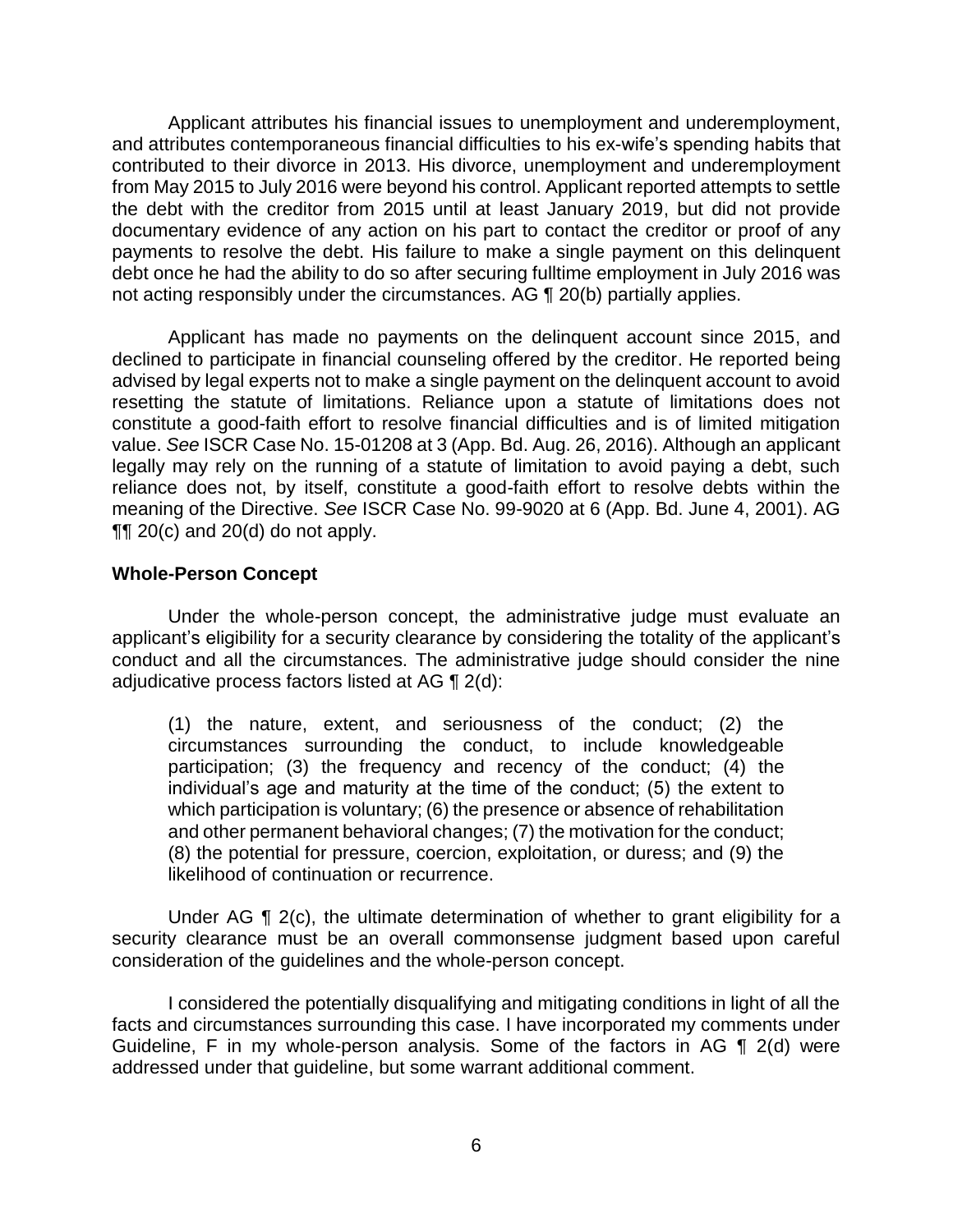Applicant attributes his financial issues to unemployment and underemployment, and attributes contemporaneous financial difficulties to his ex-wife's spending habits that contributed to their divorce in 2013. His divorce, unemployment and underemployment from May 2015 to July 2016 were beyond his control. Applicant reported attempts to settle the debt with the creditor from 2015 until at least January 2019, but did not provide documentary evidence of any action on his part to contact the creditor or proof of any payments to resolve the debt. His failure to make a single payment on this delinquent debt once he had the ability to do so after securing fulltime employment in July 2016 was not acting responsibly under the circumstances. AG ¶ 20(b) partially applies.

Applicant has made no payments on the delinquent account since 2015, and declined to participate in financial counseling offered by the creditor. He reported being advised by legal experts not to make a single payment on the delinquent account to avoid resetting the statute of limitations. Reliance upon a statute of limitations does not constitute a good-faith effort to resolve financial difficulties and is of limited mitigation value. *See* ISCR Case No. 15-01208 at 3 (App. Bd. Aug. 26, 2016). Although an applicant legally may rely on the running of a statute of limitation to avoid paying a debt, such reliance does not, by itself, constitute a good-faith effort to resolve debts within the meaning of the Directive. *See* ISCR Case No. 99-9020 at 6 (App. Bd. June 4, 2001). AG  $\P\P$  20(c) and 20(d) do not apply.

#### **Whole-Person Concept**

Under the whole-person concept, the administrative judge must evaluate an applicant's eligibility for a security clearance by considering the totality of the applicant's conduct and all the circumstances. The administrative judge should consider the nine adjudicative process factors listed at AG ¶ 2(d):

(1) the nature, extent, and seriousness of the conduct; (2) the circumstances surrounding the conduct, to include knowledgeable participation; (3) the frequency and recency of the conduct; (4) the individual's age and maturity at the time of the conduct; (5) the extent to which participation is voluntary; (6) the presence or absence of rehabilitation and other permanent behavioral changes; (7) the motivation for the conduct; (8) the potential for pressure, coercion, exploitation, or duress; and (9) the likelihood of continuation or recurrence.

Under AG ¶ 2(c), the ultimate determination of whether to grant eligibility for a security clearance must be an overall commonsense judgment based upon careful consideration of the guidelines and the whole-person concept.

I considered the potentially disqualifying and mitigating conditions in light of all the facts and circumstances surrounding this case. I have incorporated my comments under Guideline, F in my whole-person analysis. Some of the factors in AG ¶ 2(d) were addressed under that guideline, but some warrant additional comment.